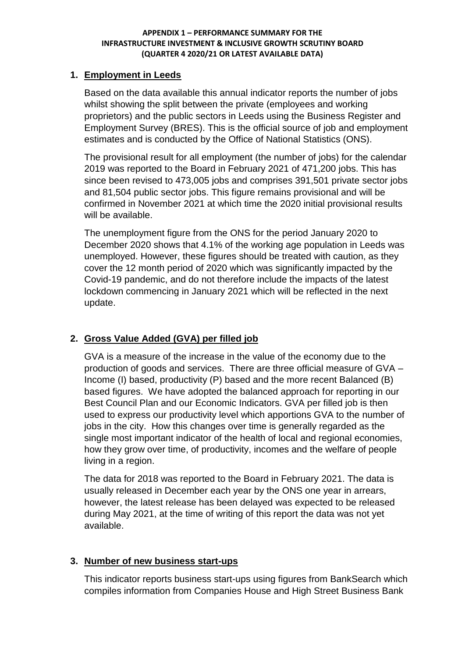## **1. Employment in Leeds**

Based on the data available this annual indicator reports the number of jobs whilst showing the split between the private (employees and working proprietors) and the public sectors in Leeds using the Business Register and Employment Survey (BRES). This is the official source of job and employment estimates and is conducted by the Office of National Statistics (ONS).

The provisional result for all employment (the number of jobs) for the calendar 2019 was reported to the Board in February 2021 of 471,200 jobs. This has since been revised to 473,005 jobs and comprises 391,501 private sector jobs and 81,504 public sector jobs. This figure remains provisional and will be confirmed in November 2021 at which time the 2020 initial provisional results will be available.

The unemployment figure from the ONS for the period January 2020 to December 2020 shows that 4.1% of the working age population in Leeds was unemployed. However, these figures should be treated with caution, as they cover the 12 month period of 2020 which was significantly impacted by the Covid-19 pandemic, and do not therefore include the impacts of the latest lockdown commencing in January 2021 which will be reflected in the next update.

# **2. Gross Value Added (GVA) per filled job**

GVA is a measure of the increase in the value of the economy due to the production of goods and services. There are three official measure of GVA – Income (I) based, productivity (P) based and the more recent Balanced (B) based figures. We have adopted the balanced approach for reporting in our Best Council Plan and our Economic Indicators. GVA per filled job is then used to express our productivity level which apportions GVA to the number of jobs in the city. How this changes over time is generally regarded as the single most important indicator of the health of local and regional economies, how they grow over time, of productivity, incomes and the welfare of people living in a region.

The data for 2018 was reported to the Board in February 2021. The data is usually released in December each year by the ONS one year in arrears, however, the latest release has been delayed was expected to be released during May 2021, at the time of writing of this report the data was not yet available.

## **3. Number of new business start-ups**

This indicator reports business start-ups using figures from BankSearch which compiles information from Companies House and High Street Business Bank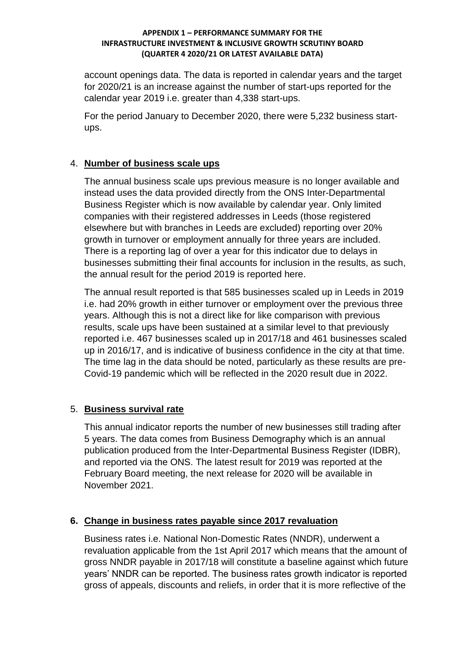account openings data. The data is reported in calendar years and the target for 2020/21 is an increase against the number of start-ups reported for the calendar year 2019 i.e. greater than 4,338 start-ups.

For the period January to December 2020, there were 5,232 business startups.

## 4. **Number of business scale ups**

The annual business scale ups previous measure is no longer available and instead uses the data provided directly from the ONS Inter-Departmental Business Register which is now available by calendar year. Only limited companies with their registered addresses in Leeds (those registered elsewhere but with branches in Leeds are excluded) reporting over 20% growth in turnover or employment annually for three years are included. There is a reporting lag of over a year for this indicator due to delays in businesses submitting their final accounts for inclusion in the results, as such, the annual result for the period 2019 is reported here.

The annual result reported is that 585 businesses scaled up in Leeds in 2019 i.e. had 20% growth in either turnover or employment over the previous three years. Although this is not a direct like for like comparison with previous results, scale ups have been sustained at a similar level to that previously reported i.e. 467 businesses scaled up in 2017/18 and 461 businesses scaled up in 2016/17, and is indicative of business confidence in the city at that time. The time lag in the data should be noted, particularly as these results are pre-Covid-19 pandemic which will be reflected in the 2020 result due in 2022.

## 5. **Business survival rate**

This annual indicator reports the number of new businesses still trading after 5 years. The data comes from Business Demography which is an annual publication produced from the Inter-Departmental Business Register (IDBR), and reported via the ONS. The latest result for 2019 was reported at the February Board meeting, the next release for 2020 will be available in November 2021.

## **6. Change in business rates payable since 2017 revaluation**

Business rates i.e. National Non-Domestic Rates (NNDR), underwent a revaluation applicable from the 1st April 2017 which means that the amount of gross NNDR payable in 2017/18 will constitute a baseline against which future years' NNDR can be reported. The business rates growth indicator is reported gross of appeals, discounts and reliefs, in order that it is more reflective of the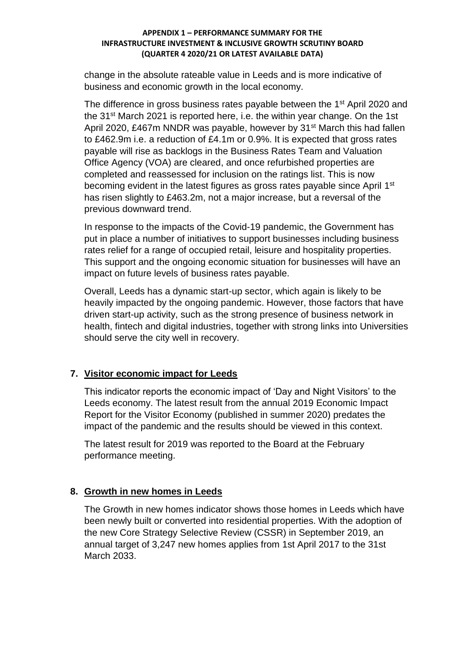change in the absolute rateable value in Leeds and is more indicative of business and economic growth in the local economy.

The difference in gross business rates payable between the 1<sup>st</sup> April 2020 and the 31st March 2021 is reported here, i.e. the within year change. On the 1st April 2020, £467m NNDR was payable, however by 31<sup>st</sup> March this had fallen to £462.9m i.e. a reduction of £4.1m or 0.9%. It is expected that gross rates payable will rise as backlogs in the Business Rates Team and Valuation Office Agency (VOA) are cleared, and once refurbished properties are completed and reassessed for inclusion on the ratings list. This is now becoming evident in the latest figures as gross rates payable since April 1<sup>st</sup> has risen slightly to £463.2m, not a major increase, but a reversal of the previous downward trend.

In response to the impacts of the Covid-19 pandemic, the Government has put in place a number of initiatives to support businesses including business rates relief for a range of occupied retail, leisure and hospitality properties. This support and the ongoing economic situation for businesses will have an impact on future levels of business rates payable.

Overall, Leeds has a dynamic start-up sector, which again is likely to be heavily impacted by the ongoing pandemic. However, those factors that have driven start-up activity, such as the strong presence of business network in health, fintech and digital industries, together with strong links into Universities should serve the city well in recovery.

## **7. Visitor economic impact for Leeds**

This indicator reports the economic impact of 'Day and Night Visitors' to the Leeds economy. The latest result from the annual 2019 Economic Impact Report for the Visitor Economy (published in summer 2020) predates the impact of the pandemic and the results should be viewed in this context.

The latest result for 2019 was reported to the Board at the February performance meeting.

## **8. Growth in new homes in Leeds**

The Growth in new homes indicator shows those homes in Leeds which have been newly built or converted into residential properties. With the adoption of the new Core Strategy Selective Review (CSSR) in September 2019, an annual target of 3,247 new homes applies from 1st April 2017 to the 31st March 2033.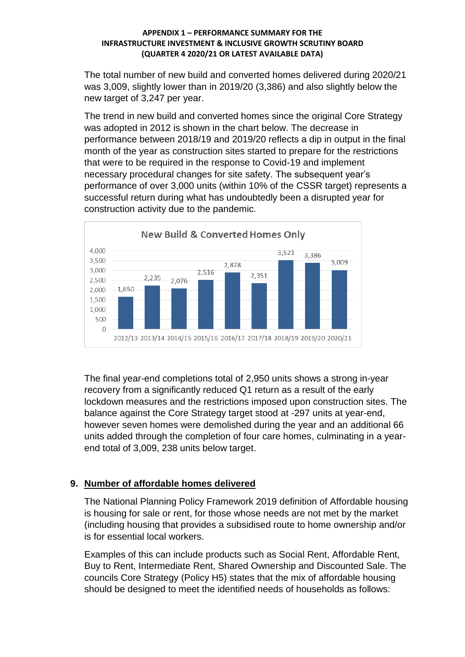The total number of new build and converted homes delivered during 2020/21 was 3,009, slightly lower than in 2019/20 (3,386) and also slightly below the new target of 3,247 per year.

The trend in new build and converted homes since the original Core Strategy was adopted in 2012 is shown in the chart below. The decrease in performance between 2018/19 and 2019/20 reflects a dip in output in the final month of the year as construction sites started to prepare for the restrictions that were to be required in the response to Covid-19 and implement necessary procedural changes for site safety. The subsequent year's performance of over 3,000 units (within 10% of the CSSR target) represents a successful return during what has undoubtedly been a disrupted year for construction activity due to the pandemic.



The final year-end completions total of 2,950 units shows a strong in-year recovery from a significantly reduced Q1 return as a result of the early lockdown measures and the restrictions imposed upon construction sites. The balance against the Core Strategy target stood at -297 units at year-end, however seven homes were demolished during the year and an additional 66 units added through the completion of four care homes, culminating in a yearend total of 3,009, 238 units below target.

# **9. Number of affordable homes delivered**

The National Planning Policy Framework 2019 definition of Affordable housing is housing for sale or rent, for those whose needs are not met by the market (including housing that provides a subsidised route to home ownership and/or is for essential local workers.

Examples of this can include products such as Social Rent, Affordable Rent, Buy to Rent, Intermediate Rent, Shared Ownership and Discounted Sale. The councils Core Strategy (Policy H5) states that the mix of affordable housing should be designed to meet the identified needs of households as follows: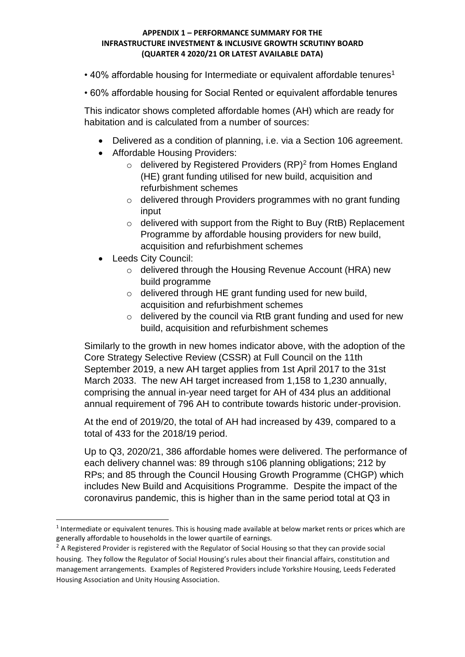- 40% affordable housing for Intermediate or equivalent affordable tenures<sup>1</sup>
- 60% affordable housing for Social Rented or equivalent affordable tenures

This indicator shows completed affordable homes (AH) which are ready for habitation and is calculated from a number of sources:

- Delivered as a condition of planning, i.e. via a Section 106 agreement.
- Affordable Housing Providers:
	- $\circ$  delivered by Registered Providers (RP)<sup>2</sup> from Homes England (HE) grant funding utilised for new build, acquisition and refurbishment schemes
	- o delivered through Providers programmes with no grant funding input
	- o delivered with support from the Right to Buy (RtB) Replacement Programme by affordable housing providers for new build, acquisition and refurbishment schemes
- Leeds City Council:

1

- o delivered through the Housing Revenue Account (HRA) new build programme
- o delivered through HE grant funding used for new build, acquisition and refurbishment schemes
- $\circ$  delivered by the council via RtB grant funding and used for new build, acquisition and refurbishment schemes

Similarly to the growth in new homes indicator above, with the adoption of the Core Strategy Selective Review (CSSR) at Full Council on the 11th September 2019, a new AH target applies from 1st April 2017 to the 31st March 2033. The new AH target increased from 1,158 to 1,230 annually, comprising the annual in-year need target for AH of 434 plus an additional annual requirement of 796 AH to contribute towards historic under-provision.

At the end of 2019/20, the total of AH had increased by 439, compared to a total of 433 for the 2018/19 period.

Up to Q3, 2020/21, 386 affordable homes were delivered. The performance of each delivery channel was: 89 through s106 planning obligations; 212 by RPs; and 85 through the Council Housing Growth Programme (CHGP) which includes New Build and Acquisitions Programme. Despite the impact of the coronavirus pandemic, this is higher than in the same period total at Q3 in

<sup>&</sup>lt;sup>1</sup> Intermediate or equivalent tenures. This is housing made available at below market rents or prices which are generally affordable to households in the lower quartile of earnings.

 $<sup>2</sup>$  A Registered Provider is registered with the Regulator of Social Housing so that they can provide social</sup> housing. They follow the Regulator of Social Housing's rules about their financial affairs, constitution and management arrangements. Examples of Registered Providers include Yorkshire Housing, Leeds Federated Housing Association and Unity Housing Association.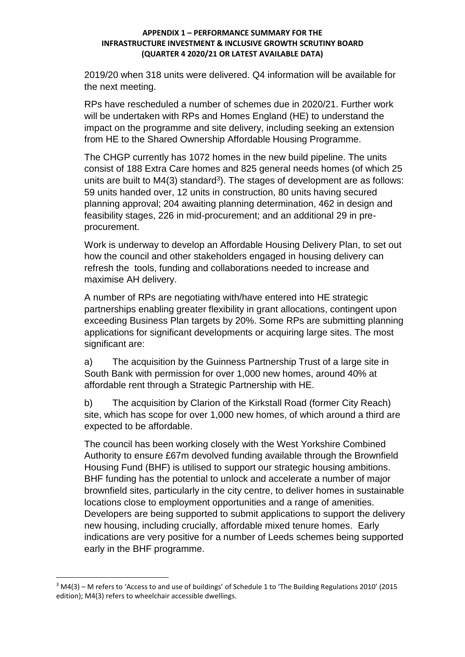2019/20 when 318 units were delivered. Q4 information will be available for the next meeting.

RPs have rescheduled a number of schemes due in 2020/21. Further work will be undertaken with RPs and Homes England (HE) to understand the impact on the programme and site delivery, including seeking an extension from HE to the Shared Ownership Affordable Housing Programme.

The CHGP currently has 1072 homes in the new build pipeline. The units consist of 188 Extra Care homes and 825 general needs homes (of which 25 units are built to  $M4(3)$  standard<sup>3</sup>). The stages of development are as follows: 59 units handed over, 12 units in construction, 80 units having secured planning approval; 204 awaiting planning determination, 462 in design and feasibility stages, 226 in mid-procurement; and an additional 29 in preprocurement.

Work is underway to develop an Affordable Housing Delivery Plan, to set out how the council and other stakeholders engaged in housing delivery can refresh the tools, funding and collaborations needed to increase and maximise AH delivery.

A number of RPs are negotiating with/have entered into HE strategic partnerships enabling greater flexibility in grant allocations, contingent upon exceeding Business Plan targets by 20%. Some RPs are submitting planning applications for significant developments or acquiring large sites. The most significant are:

a) The acquisition by the Guinness Partnership Trust of a large site in South Bank with permission for over 1,000 new homes, around 40% at affordable rent through a Strategic Partnership with HE.

b) The acquisition by Clarion of the Kirkstall Road (former City Reach) site, which has scope for over 1,000 new homes, of which around a third are expected to be affordable.

The council has been working closely with the West Yorkshire Combined Authority to ensure £67m devolved funding available through the Brownfield Housing Fund (BHF) is utilised to support our strategic housing ambitions. BHF funding has the potential to unlock and accelerate a number of major brownfield sites, particularly in the city centre, to deliver homes in sustainable locations close to employment opportunities and a range of amenities. Developers are being supported to submit applications to support the delivery new housing, including crucially, affordable mixed tenure homes. Early indications are very positive for a number of Leeds schemes being supported early in the BHF programme.

**.** 

<sup>3</sup> M4(3) – M refers to 'Access to and use of buildings' of Schedule 1 to 'The Building Regulations 2010' (2015 edition); M4(3) refers to wheelchair accessible dwellings.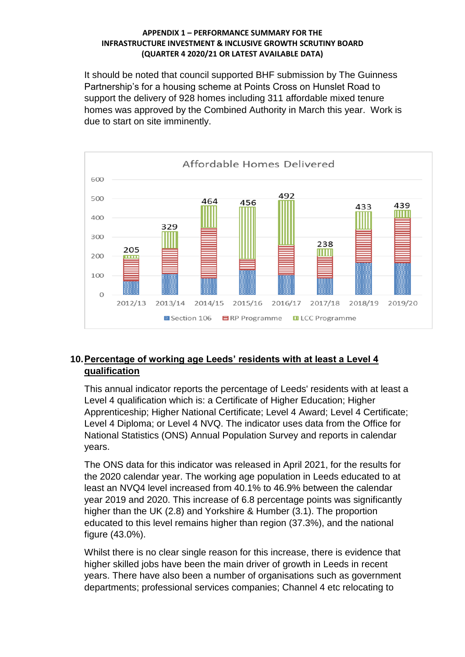It should be noted that council supported BHF submission by The Guinness Partnership's for a housing scheme at Points Cross on Hunslet Road to support the delivery of 928 homes including 311 affordable mixed tenure homes was approved by the Combined Authority in March this year. Work is due to start on site imminently.



# **10.Percentage of working age Leeds' residents with at least a Level 4 qualification**

This annual indicator reports the percentage of Leeds' residents with at least a Level 4 qualification which is: a Certificate of Higher Education; Higher Apprenticeship; Higher National Certificate; Level 4 Award; Level 4 Certificate; Level 4 Diploma; or Level 4 NVQ. The indicator uses data from the Office for National Statistics (ONS) Annual Population Survey and reports in calendar years.

The ONS data for this indicator was released in April 2021, for the results for the 2020 calendar year. The working age population in Leeds educated to at least an NVQ4 level increased from 40.1% to 46.9% between the calendar year 2019 and 2020. This increase of 6.8 percentage points was significantly higher than the UK (2.8) and Yorkshire & Humber (3.1). The proportion educated to this level remains higher than region (37.3%), and the national figure (43.0%).

Whilst there is no clear single reason for this increase, there is evidence that higher skilled jobs have been the main driver of growth in Leeds in recent years. There have also been a number of organisations such as government departments; professional services companies; Channel 4 etc relocating to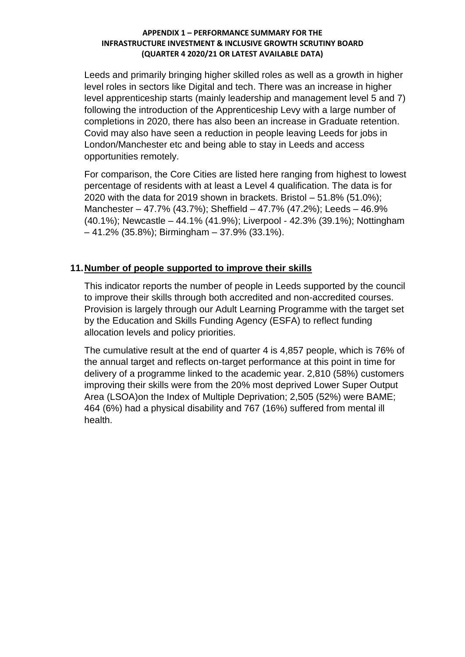Leeds and primarily bringing higher skilled roles as well as a growth in higher level roles in sectors like Digital and tech. There was an increase in higher level apprenticeship starts (mainly leadership and management level 5 and 7) following the introduction of the Apprenticeship Levy with a large number of completions in 2020, there has also been an increase in Graduate retention. Covid may also have seen a reduction in people leaving Leeds for jobs in London/Manchester etc and being able to stay in Leeds and access opportunities remotely.

For comparison, the Core Cities are listed here ranging from highest to lowest percentage of residents with at least a Level 4 qualification. The data is for 2020 with the data for 2019 shown in brackets. Bristol – 51.8% (51.0%); Manchester – 47.7% (43.7%); Sheffield – 47.7% (47.2%); Leeds – 46.9% (40.1%); Newcastle – 44.1% (41.9%); Liverpool - 42.3% (39.1%); Nottingham – 41.2% (35.8%); Birmingham – 37.9% (33.1%).

## **11.Number of people supported to improve their skills**

This indicator reports the number of people in Leeds supported by the council to improve their skills through both accredited and non-accredited courses. Provision is largely through our Adult Learning Programme with the target set by the Education and Skills Funding Agency (ESFA) to reflect funding allocation levels and policy priorities.

The cumulative result at the end of quarter 4 is 4,857 people, which is 76% of the annual target and reflects on-target performance at this point in time for delivery of a programme linked to the academic year. 2,810 (58%) customers improving their skills were from the 20% most deprived Lower Super Output Area (LSOA)on the Index of Multiple Deprivation; 2,505 (52%) were BAME; 464 (6%) had a physical disability and 767 (16%) suffered from mental ill health.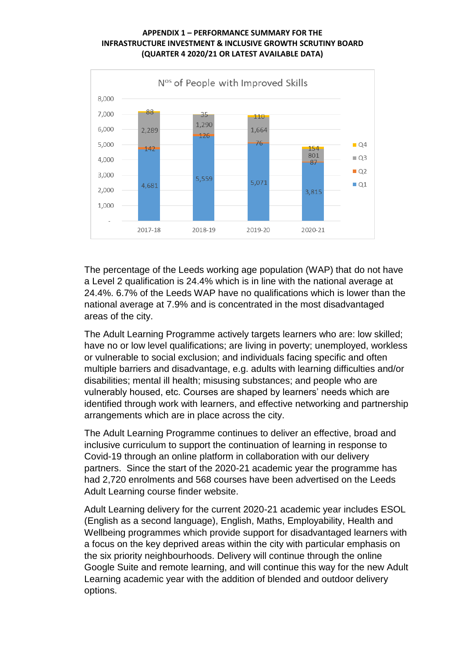

The percentage of the Leeds working age population (WAP) that do not have a Level 2 qualification is 24.4% which is in line with the national average at 24.4%. 6.7% of the Leeds WAP have no qualifications which is lower than the national average at 7.9% and is concentrated in the most disadvantaged areas of the city.

The Adult Learning Programme actively targets learners who are: low skilled; have no or low level qualifications; are living in poverty; unemployed, workless or vulnerable to social exclusion; and individuals facing specific and often multiple barriers and disadvantage, e.g. adults with learning difficulties and/or disabilities; mental ill health; misusing substances; and people who are vulnerably housed, etc. Courses are shaped by learners' needs which are identified through work with learners, and effective networking and partnership arrangements which are in place across the city.

The Adult Learning Programme continues to deliver an effective, broad and inclusive curriculum to support the continuation of learning in response to Covid-19 through an online platform in collaboration with our delivery partners. Since the start of the 2020-21 academic year the programme has had 2,720 enrolments and 568 courses have been advertised on the Leeds Adult Learning course finder website.

Adult Learning delivery for the current 2020-21 academic year includes ESOL (English as a second language), English, Maths, Employability, Health and Wellbeing programmes which provide support for disadvantaged learners with a focus on the key deprived areas within the city with particular emphasis on the six priority neighbourhoods. Delivery will continue through the online Google Suite and remote learning, and will continue this way for the new Adult Learning academic year with the addition of blended and outdoor delivery options.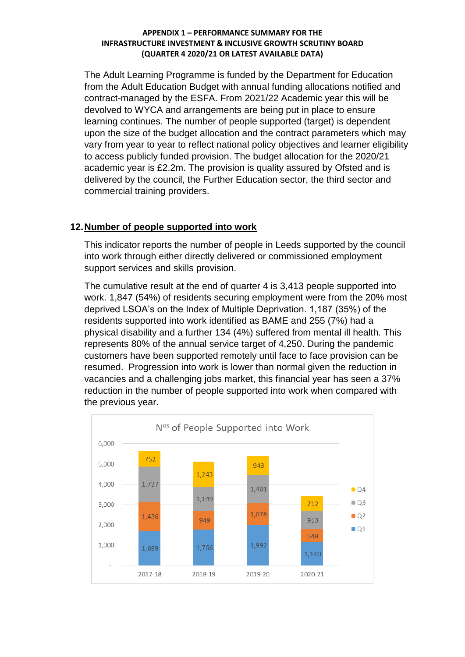The Adult Learning Programme is funded by the Department for Education from the Adult Education Budget with annual funding allocations notified and contract-managed by the ESFA. From 2021/22 Academic year this will be devolved to WYCA and arrangements are being put in place to ensure learning continues. The number of people supported (target) is dependent upon the size of the budget allocation and the contract parameters which may vary from year to year to reflect national policy objectives and learner eligibility to access publicly funded provision. The budget allocation for the 2020/21 academic year is £2.2m. The provision is quality assured by Ofsted and is delivered by the council, the Further Education sector, the third sector and commercial training providers.

## **12.Number of people supported into work**

This indicator reports the number of people in Leeds supported by the council into work through either directly delivered or commissioned employment support services and skills provision.

The cumulative result at the end of quarter 4 is 3,413 people supported into work. 1,847 (54%) of residents securing employment were from the 20% most deprived LSOA's on the Index of Multiple Deprivation. 1,187 (35%) of the residents supported into work identified as BAME and 255 (7%) had a physical disability and a further 134 (4%) suffered from mental ill health. This represents 80% of the annual service target of 4,250. During the pandemic customers have been supported remotely until face to face provision can be resumed. Progression into work is lower than normal given the reduction in vacancies and a challenging jobs market, this financial year has seen a 37% reduction in the number of people supported into work when compared with the previous year.

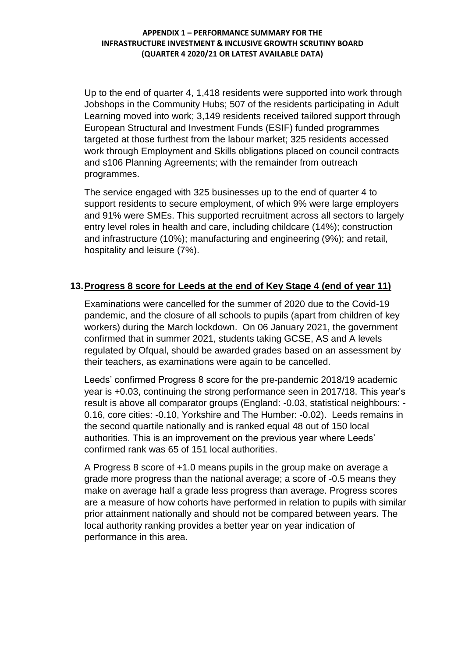Up to the end of quarter 4, 1,418 residents were supported into work through Jobshops in the Community Hubs; 507 of the residents participating in Adult Learning moved into work; 3,149 residents received tailored support through European Structural and Investment Funds (ESIF) funded programmes targeted at those furthest from the labour market; 325 residents accessed work through Employment and Skills obligations placed on council contracts and s106 Planning Agreements; with the remainder from outreach programmes.

The service engaged with 325 businesses up to the end of quarter 4 to support residents to secure employment, of which 9% were large employers and 91% were SMEs. This supported recruitment across all sectors to largely entry level roles in health and care, including childcare (14%); construction and infrastructure (10%); manufacturing and engineering (9%); and retail, hospitality and leisure (7%).

## **13.Progress 8 score for Leeds at the end of Key Stage 4 (end of year 11)**

Examinations were cancelled for the summer of 2020 due to the Covid-19 pandemic, and the closure of all schools to pupils (apart from children of key workers) during the March lockdown. On 06 January 2021, the government confirmed that in summer 2021, students taking GCSE, AS and A levels regulated by Ofqual, should be awarded grades based on an assessment by their teachers, as examinations were again to be cancelled.

Leeds' confirmed Progress 8 score for the pre-pandemic 2018/19 academic year is +0.03, continuing the strong performance seen in 2017/18. This year's result is above all comparator groups (England: -0.03, statistical neighbours: - 0.16, core cities: -0.10, Yorkshire and The Humber: -0.02). Leeds remains in the second quartile nationally and is ranked equal 48 out of 150 local authorities. This is an improvement on the previous year where Leeds' confirmed rank was 65 of 151 local authorities.

A Progress 8 score of +1.0 means pupils in the group make on average a grade more progress than the national average; a score of -0.5 means they make on average half a grade less progress than average. Progress scores are a measure of how cohorts have performed in relation to pupils with similar prior attainment nationally and should not be compared between years. The local authority ranking provides a better year on year indication of performance in this area.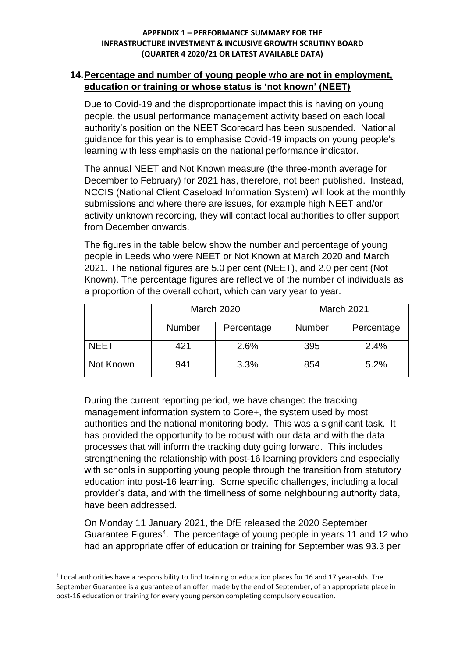### **14.Percentage and number of young people who are not in employment, education or training or whose status is 'not known' (NEET)**

Due to Covid-19 and the disproportionate impact this is having on young people, the usual performance management activity based on each local authority's position on the NEET Scorecard has been suspended. National guidance for this year is to emphasise Covid-19 impacts on young people's learning with less emphasis on the national performance indicator.

The annual NEET and Not Known measure (the three-month average for December to February) for 2021 has, therefore, not been published. Instead, NCCIS (National Client Caseload Information System) will look at the monthly submissions and where there are issues, for example high NEET and/or activity unknown recording, they will contact local authorities to offer support from December onwards.

The figures in the table below show the number and percentage of young people in Leeds who were NEET or Not Known at March 2020 and March 2021. The national figures are 5.0 per cent (NEET), and 2.0 per cent (Not Known). The percentage figures are reflective of the number of individuals as a proportion of the overall cohort, which can vary year to year.

|             |               | <b>March 2020</b> | March 2021    |            |  |  |
|-------------|---------------|-------------------|---------------|------------|--|--|
|             | <b>Number</b> | Percentage        | <b>Number</b> | Percentage |  |  |
| <b>NEET</b> | 421           | 2.6%              | 395           | 2.4%       |  |  |
| Not Known   | 941           | 3.3%              | 854           | 5.2%       |  |  |

During the current reporting period, we have changed the tracking management information system to Core+, the system used by most authorities and the national monitoring body. This was a significant task. It has provided the opportunity to be robust with our data and with the data processes that will inform the tracking duty going forward. This includes strengthening the relationship with post-16 learning providers and especially with schools in supporting young people through the transition from statutory education into post-16 learning. Some specific challenges, including a local provider's data, and with the timeliness of some neighbouring authority data, have been addressed.

On Monday 11 January 2021, the DfE released the 2020 September Guarantee Figures<sup>4</sup>. The percentage of young people in years 11 and 12 who had an appropriate offer of education or training for September was 93.3 per

**.** 

<sup>&</sup>lt;sup>4</sup> Local authorities have a responsibility to find training or education places for 16 and 17 year-olds. The September Guarantee is a guarantee of an offer, made by the end of September, of an appropriate place in post-16 education or training for every young person completing compulsory education.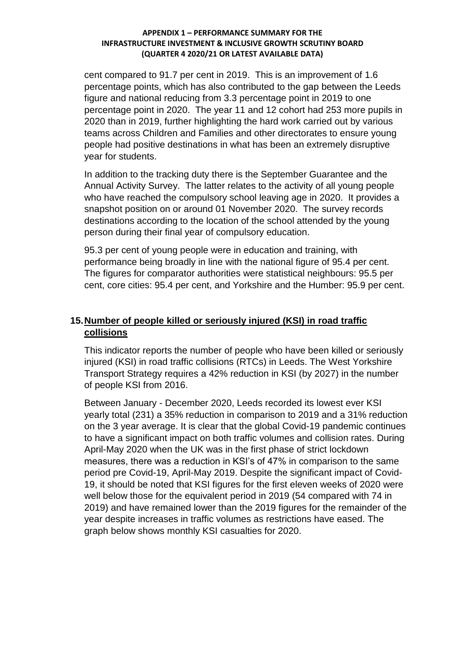cent compared to 91.7 per cent in 2019. This is an improvement of 1.6 percentage points, which has also contributed to the gap between the Leeds figure and national reducing from 3.3 percentage point in 2019 to one percentage point in 2020. The year 11 and 12 cohort had 253 more pupils in 2020 than in 2019, further highlighting the hard work carried out by various teams across Children and Families and other directorates to ensure young people had positive destinations in what has been an extremely disruptive year for students.

In addition to the tracking duty there is the September Guarantee and the Annual Activity Survey. The latter relates to the activity of all young people who have reached the compulsory school leaving age in 2020. It provides a snapshot position on or around 01 November 2020. The survey records destinations according to the location of the school attended by the young person during their final year of compulsory education.

95.3 per cent of young people were in education and training, with performance being broadly in line with the national figure of 95.4 per cent. The figures for comparator authorities were statistical neighbours: 95.5 per cent, core cities: 95.4 per cent, and Yorkshire and the Humber: 95.9 per cent.

# **15.Number of people killed or seriously injured (KSI) in road traffic collisions**

This indicator reports the number of people who have been killed or seriously injured (KSI) in road traffic collisions (RTCs) in Leeds. The West Yorkshire Transport Strategy requires a 42% reduction in KSI (by 2027) in the number of people KSI from 2016.

Between January - December 2020, Leeds recorded its lowest ever KSI yearly total (231) a 35% reduction in comparison to 2019 and a 31% reduction on the 3 year average. It is clear that the global Covid-19 pandemic continues to have a significant impact on both traffic volumes and collision rates. During April-May 2020 when the UK was in the first phase of strict lockdown measures, there was a reduction in KSI's of 47% in comparison to the same period pre Covid-19, April-May 2019. Despite the significant impact of Covid-19, it should be noted that KSI figures for the first eleven weeks of 2020 were well below those for the equivalent period in 2019 (54 compared with 74 in 2019) and have remained lower than the 2019 figures for the remainder of the year despite increases in traffic volumes as restrictions have eased. The graph below shows monthly KSI casualties for 2020.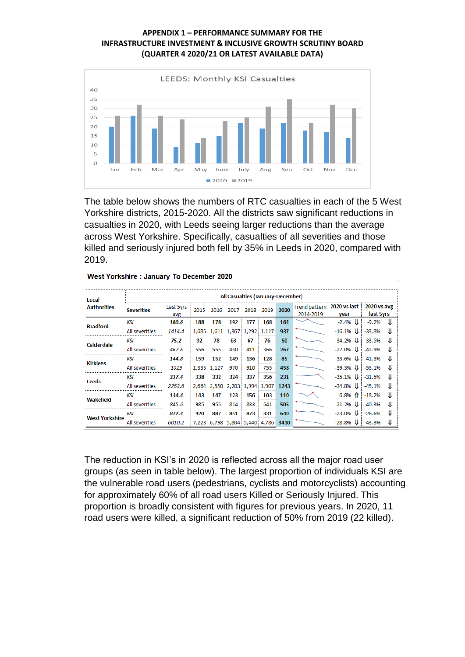

The table below shows the numbers of RTC casualties in each of the 5 West Yorkshire districts, 2015-2020. All the districts saw significant reductions in casualties in 2020, with Leeds seeing larger reductions than the average across West Yorkshire. Specifically, casualties of all severities and those killed and seriously injured both fell by 35% in Leeds in 2020, compared with 2019.

| Local<br><b>Authorities</b> | All Casualties (January-December) |                  |      |             |      |                               |           |      |                                         |            |                          |    |
|-----------------------------|-----------------------------------|------------------|------|-------------|------|-------------------------------|-----------|------|-----------------------------------------|------------|--------------------------|----|
|                             | <b>Severities</b>                 | Last 5yrs<br>avg | 2015 | 2016        | 2017 |                               | 2018 2019 | 2020 | Trend pattern 2020 vs last<br>2014-2019 | vear       | 2020 vs avg<br>last 5yrs |    |
| <b>Bradford</b>             | KSI                               | 180.6            | 188  | 178         | 192  | 177                           | 168       | 164  |                                         | $-2.4%$    | $-9.2%$                  | IJ |
|                             | All severities                    | 1414.4           |      |             |      | 1,685 1,611 1,367 1,292 1,117 |           | 937  |                                         | $-16.1%$   | $-33.8%$                 | Ш  |
| Calderdale                  | KSI                               | 75.2             | 92   | 78          | 63   | 67                            | 76        | 50   |                                         | $-34.2%$   | $-33.5%$                 | IJ |
|                             | All severities                    | 467.6            | 556  | 555         | 450  | 411                           | 366       | 267  |                                         | $-27.0%$   | $-42.9%$                 | IJ |
| <b>Kirklees</b>             | KSI                               | 144.8            | 159  | 152         | 149  | 136                           | 128       | 85   |                                         | $-33.6%$   | $-41.3%$                 | IJ |
|                             | All severities                    | 1019             |      | 1,333 1,127 | 970  | 910                           | 755       | 458  |                                         | $-39.3%$   | $-55.1%$                 | IJ |
| <b>Leeds</b>                | KSI                               | 337.4            | 338  | 332         | 324  | 337                           | 356       | 231  |                                         | $-35.1%$   | $-31.5%$                 | IJ |
|                             | All severities                    | 2263.6           |      |             |      | 2,664 2,550 2,203 1,994 1,907 |           | 1243 |                                         | $-34.8%$   | $-45.1%$                 | IJ |
| Wakefield                   | KSI                               | 134.4            | 143  | 147         | 123  | 156                           | 103       | 110  |                                         | $6.8%$ 1   | $-18.2%$                 | Ш  |
|                             | All severities                    | 845.6            | 985  | 955         | 814  | 833                           | 641       | 505  |                                         | $-21.2%$   | $-40.3%$                 | IJ |
| <b>West Yorkshire</b>       | KSI                               | 872.4            | 920  | 887         | 851  | 873                           | 831       | 640  |                                         | $-23.0\%$  | $-26.6%$                 | IJ |
|                             | All severities                    | 6010.2           |      |             |      | 7,223 6,798 5,804 5,440 4,786 |           | 3410 |                                         | $-28.8%$ U | $-43.3%$                 |    |

|  |  | West Yorkshire: January To December 2020 |  |
|--|--|------------------------------------------|--|
|  |  |                                          |  |

The reduction in KSI's in 2020 is reflected across all the major road user groups (as seen in table below). The largest proportion of individuals KSI are the vulnerable road users (pedestrians, cyclists and motorcyclists) accounting for approximately 60% of all road users Killed or Seriously Injured. This proportion is broadly consistent with figures for previous years. In 2020, 11 road users were killed, a significant reduction of 50% from 2019 (22 killed).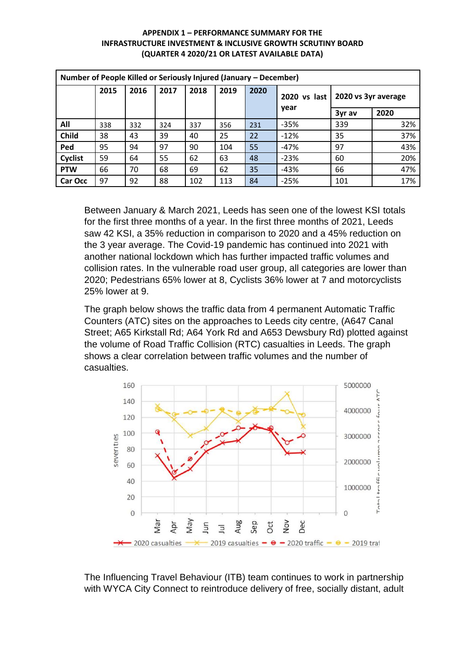| Number of People Killed or Seriously Injured (January - December) |      |      |      |      |      |      |              |                     |      |  |
|-------------------------------------------------------------------|------|------|------|------|------|------|--------------|---------------------|------|--|
|                                                                   | 2015 | 2016 | 2017 | 2018 | 2019 | 2020 | 2020 vs last | 2020 vs 3yr average |      |  |
|                                                                   |      |      |      |      |      |      | year         | 3yr av              | 2020 |  |
| All                                                               | 338  | 332  | 324  | 337  | 356  | 231  | $-35%$       | 339                 | 32%  |  |
| Child                                                             | 38   | 43   | 39   | 40   | 25   | 22   | $-12%$       | 35                  | 37%  |  |
| Ped                                                               | 95   | 94   | 97   | 90   | 104  | 55   | $-47%$       | 97                  | 43%  |  |
| Cyclist                                                           | 59   | 64   | 55   | 62   | 63   | 48   | $-23%$       | 60                  | 20%  |  |
| <b>PTW</b>                                                        | 66   | 70   | 68   | 69   | 62   | 35   | $-43%$       | 66                  | 47%  |  |
| Car Occ                                                           | 97   | 92   | 88   | 102  | 113  | 84   | $-25%$       | 101                 | 17%  |  |

Between January & March 2021, Leeds has seen one of the lowest KSI totals for the first three months of a year. In the first three months of 2021, Leeds saw 42 KSI, a 35% reduction in comparison to 2020 and a 45% reduction on the 3 year average. The Covid-19 pandemic has continued into 2021 with another national lockdown which has further impacted traffic volumes and collision rates. In the vulnerable road user group, all categories are lower than 2020; Pedestrians 65% lower at 8, Cyclists 36% lower at 7 and motorcyclists 25% lower at 9.

The graph below shows the traffic data from 4 permanent Automatic Traffic Counters (ATC) sites on the approaches to Leeds city centre, (A647 Canal Street; A65 Kirkstall Rd; A64 York Rd and A653 Dewsbury Rd) plotted against the volume of Road Traffic Collision (RTC) casualties in Leeds. The graph shows a clear correlation between traffic volumes and the number of casualties.



The Influencing Travel Behaviour (ITB) team continues to work in partnership with WYCA City Connect to reintroduce delivery of free, socially distant, adult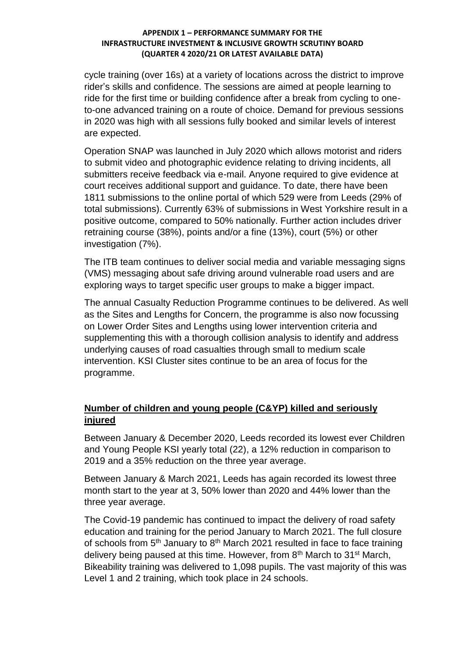cycle training (over 16s) at a variety of locations across the district to improve rider's skills and confidence. The sessions are aimed at people learning to ride for the first time or building confidence after a break from cycling to oneto-one advanced training on a route of choice. Demand for previous sessions in 2020 was high with all sessions fully booked and similar levels of interest are expected.

Operation SNAP was launched in July 2020 which allows motorist and riders to submit video and photographic evidence relating to driving incidents, all submitters receive feedback via e-mail. Anyone required to give evidence at court receives additional support and guidance. To date, there have been 1811 submissions to the online portal of which 529 were from Leeds (29% of total submissions). Currently 63% of submissions in West Yorkshire result in a positive outcome, compared to 50% nationally. Further action includes driver retraining course (38%), points and/or a fine (13%), court (5%) or other investigation (7%).

The ITB team continues to deliver social media and variable messaging signs (VMS) messaging about safe driving around vulnerable road users and are exploring ways to target specific user groups to make a bigger impact.

The annual Casualty Reduction Programme continues to be delivered. As well as the Sites and Lengths for Concern, the programme is also now focussing on Lower Order Sites and Lengths using lower intervention criteria and supplementing this with a thorough collision analysis to identify and address underlying causes of road casualties through small to medium scale intervention. KSI Cluster sites continue to be an area of focus for the programme.

# **Number of children and young people (C&YP) killed and seriously injured**

Between January & December 2020, Leeds recorded its lowest ever Children and Young People KSI yearly total (22), a 12% reduction in comparison to 2019 and a 35% reduction on the three year average.

Between January & March 2021, Leeds has again recorded its lowest three month start to the year at 3, 50% lower than 2020 and 44% lower than the three year average.

The Covid-19 pandemic has continued to impact the delivery of road safety education and training for the period January to March 2021. The full closure of schools from  $5<sup>th</sup>$  January to  $8<sup>th</sup>$  March 2021 resulted in face to face training delivery being paused at this time. However, from 8<sup>th</sup> March to 31<sup>st</sup> March, Bikeability training was delivered to 1,098 pupils. The vast majority of this was Level 1 and 2 training, which took place in 24 schools.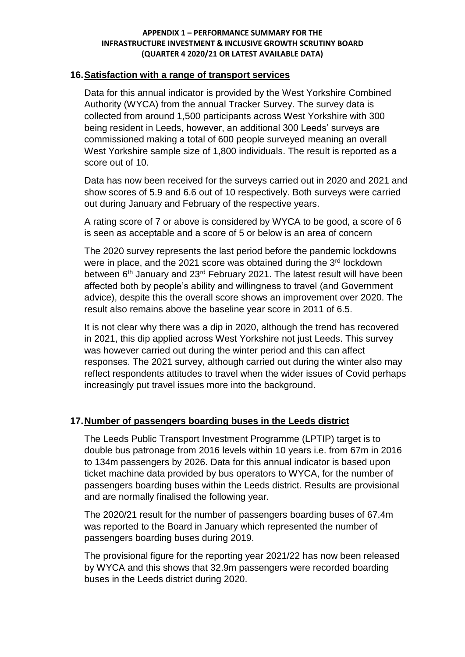### **16.Satisfaction with a range of transport services**

Data for this annual indicator is provided by the West Yorkshire Combined Authority (WYCA) from the annual Tracker Survey. The survey data is collected from around 1,500 participants across West Yorkshire with 300 being resident in Leeds, however, an additional 300 Leeds' surveys are commissioned making a total of 600 people surveyed meaning an overall West Yorkshire sample size of 1,800 individuals. The result is reported as a score out of 10.

Data has now been received for the surveys carried out in 2020 and 2021 and show scores of 5.9 and 6.6 out of 10 respectively. Both surveys were carried out during January and February of the respective years.

A rating score of 7 or above is considered by WYCA to be good, a score of 6 is seen as acceptable and a score of 5 or below is an area of concern

The 2020 survey represents the last period before the pandemic lockdowns were in place, and the 2021 score was obtained during the 3<sup>rd</sup> lockdown between 6<sup>th</sup> January and 23<sup>rd</sup> February 2021. The latest result will have been affected both by people's ability and willingness to travel (and Government advice), despite this the overall score shows an improvement over 2020. The result also remains above the baseline year score in 2011 of 6.5.

It is not clear why there was a dip in 2020, although the trend has recovered in 2021, this dip applied across West Yorkshire not just Leeds. This survey was however carried out during the winter period and this can affect responses. The 2021 survey, although carried out during the winter also may reflect respondents attitudes to travel when the wider issues of Covid perhaps increasingly put travel issues more into the background.

## **17.Number of passengers boarding buses in the Leeds district**

The Leeds Public Transport Investment Programme (LPTIP) target is to double bus patronage from 2016 levels within 10 years i.e. from 67m in 2016 to 134m passengers by 2026. Data for this annual indicator is based upon ticket machine data provided by bus operators to WYCA, for the number of passengers boarding buses within the Leeds district. Results are provisional and are normally finalised the following year.

The 2020/21 result for the number of passengers boarding buses of 67.4m was reported to the Board in January which represented the number of passengers boarding buses during 2019.

The provisional figure for the reporting year 2021/22 has now been released by WYCA and this shows that 32.9m passengers were recorded boarding buses in the Leeds district during 2020.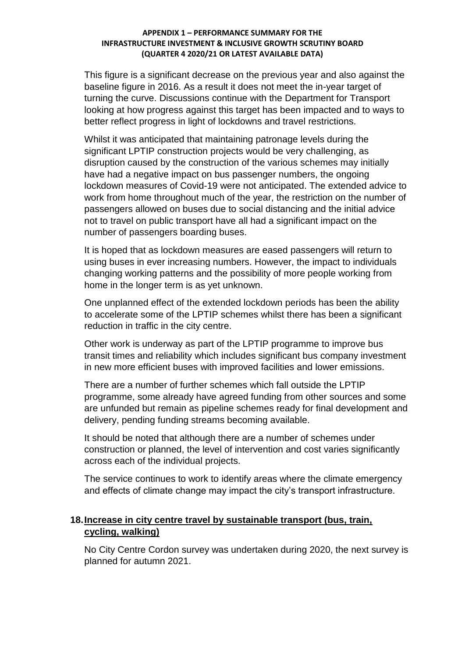This figure is a significant decrease on the previous year and also against the baseline figure in 2016. As a result it does not meet the in-year target of turning the curve. Discussions continue with the Department for Transport looking at how progress against this target has been impacted and to ways to better reflect progress in light of lockdowns and travel restrictions.

Whilst it was anticipated that maintaining patronage levels during the significant LPTIP construction projects would be very challenging, as disruption caused by the construction of the various schemes may initially have had a negative impact on bus passenger numbers, the ongoing lockdown measures of Covid-19 were not anticipated. The extended advice to work from home throughout much of the year, the restriction on the number of passengers allowed on buses due to social distancing and the initial advice not to travel on public transport have all had a significant impact on the number of passengers boarding buses.

It is hoped that as lockdown measures are eased passengers will return to using buses in ever increasing numbers. However, the impact to individuals changing working patterns and the possibility of more people working from home in the longer term is as yet unknown.

One unplanned effect of the extended lockdown periods has been the ability to accelerate some of the LPTIP schemes whilst there has been a significant reduction in traffic in the city centre.

Other work is underway as part of the LPTIP programme to improve bus transit times and reliability which includes significant bus company investment in new more efficient buses with improved facilities and lower emissions.

There are a number of further schemes which fall outside the LPTIP programme, some already have agreed funding from other sources and some are unfunded but remain as pipeline schemes ready for final development and delivery, pending funding streams becoming available.

It should be noted that although there are a number of schemes under construction or planned, the level of intervention and cost varies significantly across each of the individual projects.

The service continues to work to identify areas where the climate emergency and effects of climate change may impact the city's transport infrastructure.

### **18.Increase in city centre travel by sustainable transport (bus, train, cycling, walking)**

No City Centre Cordon survey was undertaken during 2020, the next survey is planned for autumn 2021.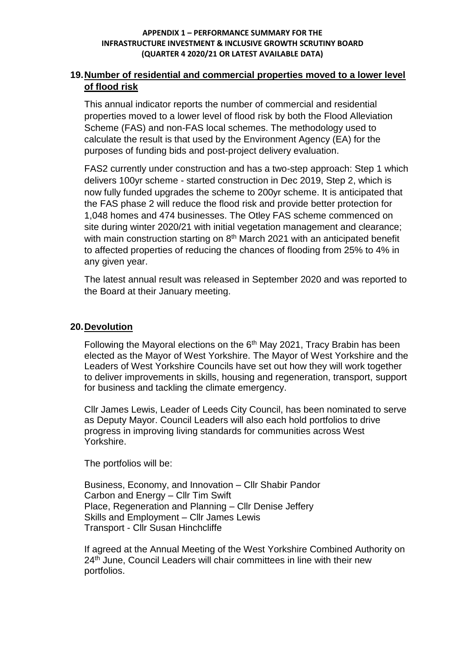### **19.Number of residential and commercial properties moved to a lower level of flood risk**

This annual indicator reports the number of commercial and residential properties moved to a lower level of flood risk by both the Flood Alleviation Scheme (FAS) and non-FAS local schemes. The methodology used to calculate the result is that used by the Environment Agency (EA) for the purposes of funding bids and post-project delivery evaluation.

FAS2 currently under construction and has a two-step approach: Step 1 which delivers 100yr scheme - started construction in Dec 2019, Step 2, which is now fully funded upgrades the scheme to 200yr scheme. It is anticipated that the FAS phase 2 will reduce the flood risk and provide better protection for 1,048 homes and 474 businesses. The Otley FAS scheme commenced on site during winter 2020/21 with initial vegetation management and clearance; with main construction starting on 8<sup>th</sup> March 2021 with an anticipated benefit to affected properties of reducing the chances of flooding from 25% to 4% in any given year.

The latest annual result was released in September 2020 and was reported to the Board at their January meeting.

### **20.Devolution**

Following the Mayoral elections on the  $6<sup>th</sup>$  May 2021, Tracy Brabin has been elected as the Mayor of West Yorkshire. The Mayor of West Yorkshire and the Leaders of West Yorkshire Councils have set out how they will work together to deliver improvements in skills, housing and regeneration, transport, support for business and tackling the climate emergency.

Cllr James Lewis, Leader of Leeds City Council, has been nominated to serve as Deputy Mayor. Council Leaders will also each hold portfolios to drive progress in improving living standards for communities across West Yorkshire.

The portfolios will be:

Business, Economy, and Innovation – Cllr Shabir Pandor Carbon and Energy – Cllr Tim Swift Place, Regeneration and Planning – Cllr Denise Jeffery Skills and Employment – Cllr James Lewis Transport - Cllr Susan Hinchcliffe

If agreed at the Annual Meeting of the West Yorkshire Combined Authority on 24<sup>th</sup> June, Council Leaders will chair committees in line with their new portfolios.